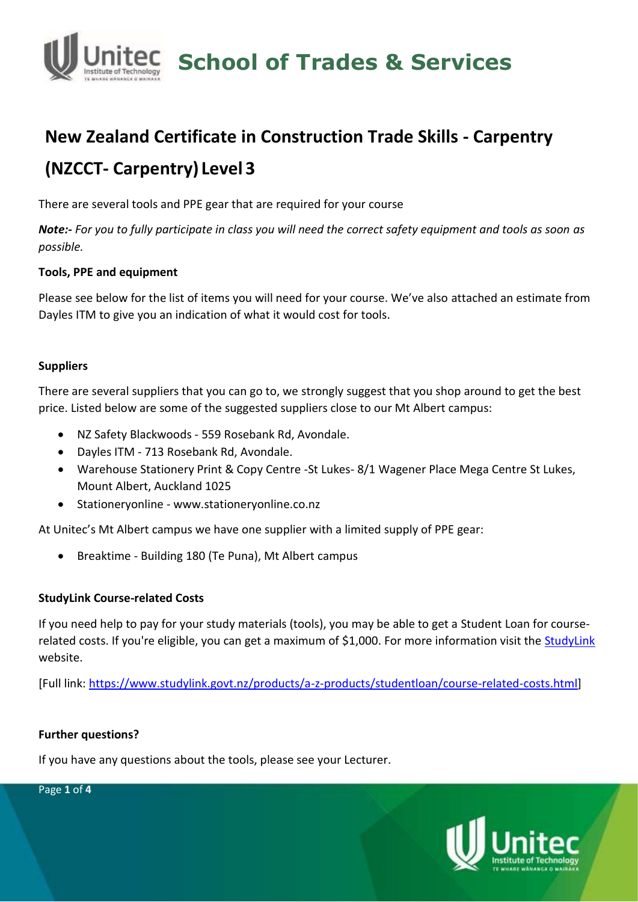

# **New Zealand Certificate in Construction Trade Skills - Carpentry (NZCCT- Carpentry) Level 3**

There are several tools and PPE gear that are required for your course

*Note:- For you to fully participate in class you will need the correct safety equipment and tools as soon as possible.*

#### **Tools, PPE and equipment**

Please see below for the list of items you will need for your course. We've also attached an estimate from Dayles ITM to give you an indication of what it would cost for tools.

#### **Suppliers**

There are several suppliers that you can go to, we strongly suggest that you shop around to get the best price. Listed below are some of the suggested suppliers close to our Mt Albert campus:

- NZ Safety Blackwoods 559 Rosebank Rd, Avondale.
- Dayles ITM 713 Rosebank Rd, Avondale.
- Warehouse Stationery Print & Copy Centre -St Lukes- 8/1 Wagener Place Mega Centre St Lukes, Mount Albert, Auckland 1025
- Stationeryonline www.stationeryonline.co.nz

At Unitec's Mt Albert campus we have one supplier with a limited supply of PPE gear:

• Breaktime - Building 180 (Te Puna), Mt Albert campus

#### **StudyLink Course-related Costs**

If you need help to pay for your study materials (tools), you may be able to get a Student Loan for courserelated costs. If you're eligible, you can get a maximum of \$1,000. For more information visit the **StudyLink** website.

[Full link: [https://www.studylink.govt.nz/products/a-z-products/studentloan/course-related-costs.html\]](https://www.studylink.govt.nz/products/a-z-products/studentloan/course-related-costs.html)

#### **Further questions?**

If you have any questions about the tools, please see your Lecturer.



Page **1** of **4**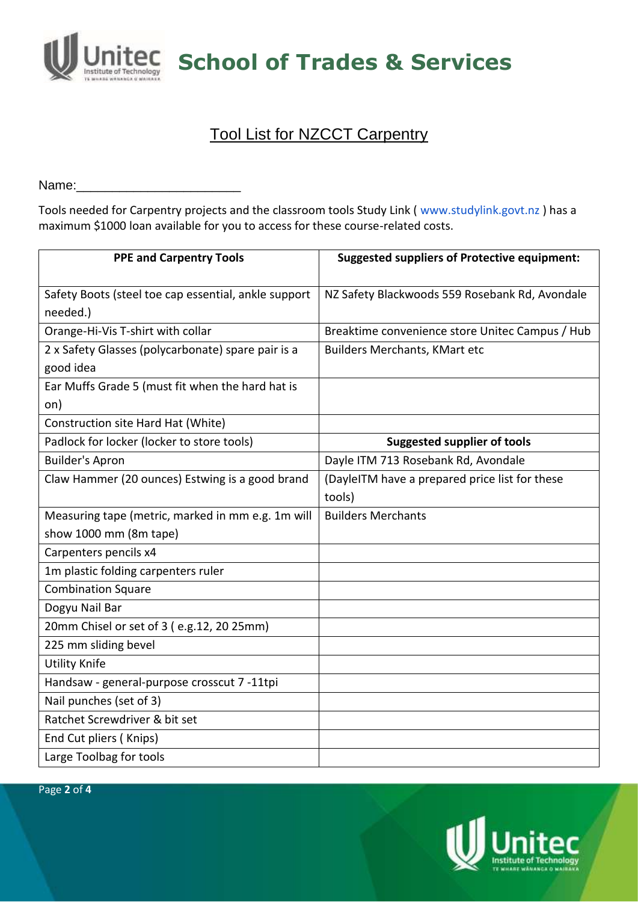

**School of Trades & Services**

## Tool List for NZCCT Carpentry

Name:

Tools needed for Carpentry projects and the classroom tools Study Link ( www.studylink.govt.nz ) has a maximum \$1000 loan available for you to access for these course-related costs.

| <b>PPE and Carpentry Tools</b>                       | <b>Suggested suppliers of Protective equipment:</b> |  |  |  |
|------------------------------------------------------|-----------------------------------------------------|--|--|--|
|                                                      |                                                     |  |  |  |
| Safety Boots (steel toe cap essential, ankle support | NZ Safety Blackwoods 559 Rosebank Rd, Avondale      |  |  |  |
| needed.)                                             |                                                     |  |  |  |
| Orange-Hi-Vis T-shirt with collar                    | Breaktime convenience store Unitec Campus / Hub     |  |  |  |
| 2 x Safety Glasses (polycarbonate) spare pair is a   | <b>Builders Merchants, KMart etc</b>                |  |  |  |
| good idea                                            |                                                     |  |  |  |
| Ear Muffs Grade 5 (must fit when the hard hat is     |                                                     |  |  |  |
| on)                                                  |                                                     |  |  |  |
| Construction site Hard Hat (White)                   |                                                     |  |  |  |
| Padlock for locker (locker to store tools)           | <b>Suggested supplier of tools</b>                  |  |  |  |
| <b>Builder's Apron</b>                               | Dayle ITM 713 Rosebank Rd, Avondale                 |  |  |  |
| Claw Hammer (20 ounces) Estwing is a good brand      | (DayleITM have a prepared price list for these      |  |  |  |
|                                                      | tools)                                              |  |  |  |
| Measuring tape (metric, marked in mm e.g. 1m will    | <b>Builders Merchants</b>                           |  |  |  |
| show 1000 mm (8m tape)                               |                                                     |  |  |  |
| Carpenters pencils x4                                |                                                     |  |  |  |
| 1m plastic folding carpenters ruler                  |                                                     |  |  |  |
| <b>Combination Square</b>                            |                                                     |  |  |  |
| Dogyu Nail Bar                                       |                                                     |  |  |  |
| 20mm Chisel or set of 3 (e.g.12, 20 25mm)            |                                                     |  |  |  |
| 225 mm sliding bevel                                 |                                                     |  |  |  |
| <b>Utility Knife</b>                                 |                                                     |  |  |  |
| Handsaw - general-purpose crosscut 7 -11tpi          |                                                     |  |  |  |
| Nail punches (set of 3)                              |                                                     |  |  |  |
| Ratchet Screwdriver & bit set                        |                                                     |  |  |  |
| End Cut pliers (Knips)                               |                                                     |  |  |  |
| Large Toolbag for tools                              |                                                     |  |  |  |

Page **2** of **4**

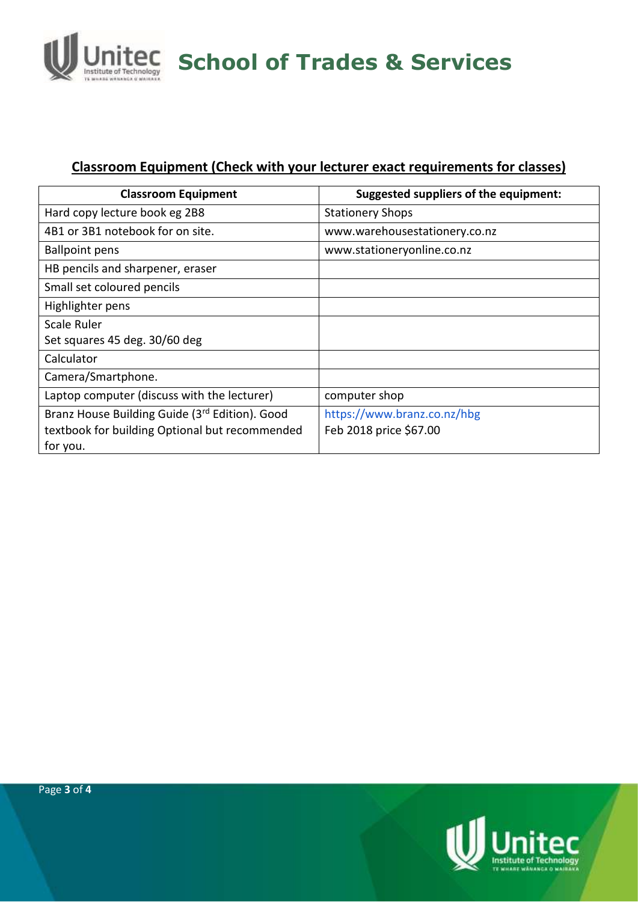

### **Classroom Equipment (Check with your lecturer exact requirements for classes)**

| <b>Classroom Equipment</b>                     | <b>Suggested suppliers of the equipment:</b> |  |  |  |
|------------------------------------------------|----------------------------------------------|--|--|--|
| Hard copy lecture book eg 2B8                  | <b>Stationery Shops</b>                      |  |  |  |
| 4B1 or 3B1 notebook for on site.               | www.warehousestationery.co.nz                |  |  |  |
| <b>Ballpoint pens</b>                          | www.stationeryonline.co.nz                   |  |  |  |
| HB pencils and sharpener, eraser               |                                              |  |  |  |
| Small set coloured pencils                     |                                              |  |  |  |
| Highlighter pens                               |                                              |  |  |  |
| Scale Ruler                                    |                                              |  |  |  |
| Set squares 45 deg. 30/60 deg                  |                                              |  |  |  |
| Calculator                                     |                                              |  |  |  |
| Camera/Smartphone.                             |                                              |  |  |  |
| Laptop computer (discuss with the lecturer)    | computer shop                                |  |  |  |
| Branz House Building Guide (3rd Edition). Good | https://www.branz.co.nz/hbg                  |  |  |  |
| textbook for building Optional but recommended | Feb 2018 price \$67.00                       |  |  |  |
| for you.                                       |                                              |  |  |  |